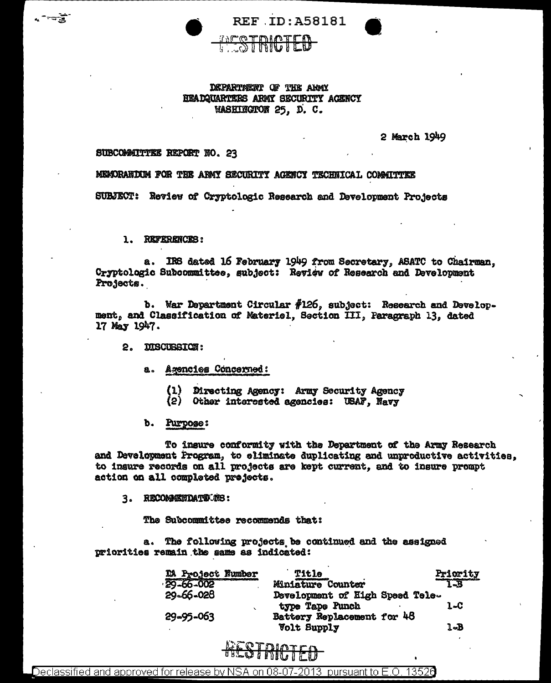

DEPARTMENT OF THE ARMY HEADQUARTERS ARMY SECURITY ACENCY WASHINGTON 25. D. C.

2 March 1949

## SUBCOMMITTEE REPORT NO. 23

⊤च्छे

MEMORARION FOR THE ARMY SECURITY AGENCY TECHNICAL COMMITTEE

SUBJECT: Review of Cryptologic Research and Development Projects

1. REFERENCES:

a. IRS dated 16 February 1949 from Secretary, ASATC to Chairman. Cryptologic Subcommittee, subject: Review of Research and Development Projects.

b. War Department Circular  $#126$ , subject: Research and Development, and Classification of Materiel, Section III, Paragraph 13, dated 17 May 1947.

2. DISCUSSION:

## a. Agencies Concerned:

(1) Directing Agency: Army Security Agency

(2) Other interested agencies: USAF, Navy

b. Purpose:

To insure conformity with the Department of the Army Research and Development Program, to eliminate duplicating and unproductive activities, to insure records on all projects are kept current. and to insure prompt action on all completed projects.

3. RECOMMENDATIONS:

The Subcommittee recommends that:

a. The following projects be continued and the assigned priorities remain the same as indicated:

| DA Project Number | Title                                              | Priority |
|-------------------|----------------------------------------------------|----------|
| 29-66-002         | Miniature Counter                                  | T-B      |
| 29-66-028         | Development of High Speed Tele-<br>type Tape Punch | 1.C      |
| 29-95-063         | Battery Replacement for 48<br><b>Volt Supply</b>   | 1-B      |



Declassified and approved for release by NSA on 08-07-2013 pursuant to E.O. 13526